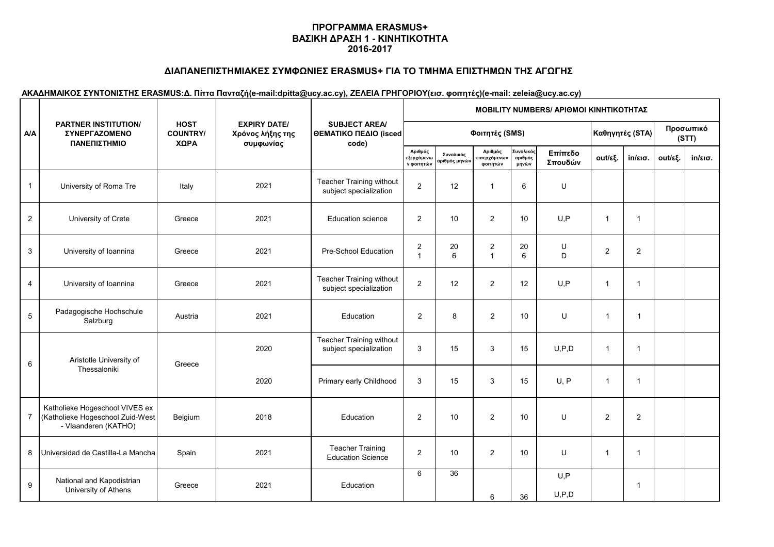# **ΔΙΑΠΑΝΕΠΙΣΤΗΜΙΑΚΕΣ ΣΥΜΦΩΝΙΕΣ ERASMUS+ ΓΙΑ ΤΟ ΤΜΗΜΑ ΕΠΙΣΤΗΜΩΝ ΤΗΣ ΑΓΩΓΗΣ**

|                         |                                                                                            |                                        |                                                      |                                                           | <b>ΜΟΒΙLITY NUMBERS/ ΑΡΙΘΜΟΙ ΚΙΝΗΤΙΚΟΤΗΤΑΣ</b> |                                          |                                     |                               |                    |                 |                   |                    |                   |  |  |
|-------------------------|--------------------------------------------------------------------------------------------|----------------------------------------|------------------------------------------------------|-----------------------------------------------------------|------------------------------------------------|------------------------------------------|-------------------------------------|-------------------------------|--------------------|-----------------|-------------------|--------------------|-------------------|--|--|
| <b>A/A</b>              | <b>PARTNER INSTITUTION/</b><br><b>ΣΥΝΕΡΓΑΖΟΜΕΝΟ</b><br>ΠΑΝΕΠΙΣΤΗΜΙΟ                        | <b>HOST</b><br><b>COUNTRY/</b><br>ΧΩΡΑ | <b>EXPIRY DATE/</b><br>Χρόνος λήξης της<br>συμφωνίας | <b>SUBJECT AREA/</b><br>ΘΕΜΑΤΙΚΟ ΠΕΔΙΟ (isced<br>code)    |                                                |                                          | Φοιτητές (SMS)                      |                               |                    | Καθηγητές (STA) |                   | Προσωπικό<br>(STT) |                   |  |  |
|                         |                                                                                            |                                        |                                                      |                                                           | Αριθμός<br>εξερχόμενω<br>ν φοιτητών            | Συνολικός<br>αριθμός μηνώ <mark>ν</mark> | Αριθμός<br>εισερχόμενων<br>φοιτητών | Συνολικός<br>αριθμός<br>μηνών | Επίπεδο<br>Σπουδών | out/εξ.         | $in/\epsilon$ ισ. | out/εξ.            | $in/\epsilon$ ισ. |  |  |
| $\mathbf{1}$            | University of Roma Tre                                                                     | Italy                                  | 2021                                                 | <b>Teacher Training without</b><br>subject specialization | $\overline{2}$                                 | 12                                       | $\mathbf{1}$                        | 6                             | U                  |                 |                   |                    |                   |  |  |
| $\overline{\mathbf{c}}$ | University of Crete                                                                        | Greece                                 | 2021                                                 | <b>Education science</b>                                  | $\overline{2}$                                 | 10                                       | $\overline{2}$                      | 10                            | U, P               | $\overline{1}$  | $\mathbf{1}$      |                    |                   |  |  |
| 3                       | University of Ioannina                                                                     | Greece                                 | 2021                                                 | Pre-School Education                                      | $\overline{\mathbf{c}}$<br>$\mathbf{1}$        | 20<br>6                                  | $\boldsymbol{2}$<br>$\mathbf{1}$    | 20<br>6                       | U<br>D             | $\overline{2}$  | $\overline{2}$    |                    |                   |  |  |
| 4                       | University of Ioannina                                                                     | Greece                                 | 2021                                                 | <b>Teacher Training without</b><br>subject specialization | $\overline{c}$                                 | 12                                       | $\overline{2}$                      | 12                            | U, P               | $\overline{1}$  | $\mathbf{1}$      |                    |                   |  |  |
| 5                       | Padagogische Hochschule<br>Salzburg                                                        | Austria                                | 2021                                                 | Education                                                 | $\overline{2}$                                 | 8                                        | $\overline{2}$                      | 10                            | U                  | $\overline{1}$  | $\mathbf{1}$      |                    |                   |  |  |
| 6                       | Aristotle University of                                                                    | Greece                                 | 2020                                                 | <b>Teacher Training without</b><br>subject specialization | 3                                              | 15                                       | 3                                   | 15                            | U, P, D            | $\overline{1}$  | $\mathbf 1$       |                    |                   |  |  |
|                         | Thessaloniki                                                                               |                                        | 2020                                                 | Primary early Childhood                                   | $\mathsf 3$                                    | 15                                       | 3                                   | 15                            | U, P               | $\overline{1}$  | $\mathbf{1}$      |                    |                   |  |  |
| 7                       | Katholieke Hogeschool VIVES ex<br>(Katholieke Hogeschool Zuid-West<br>- Vlaanderen (KATHO) | Belgium                                | 2018                                                 | Education                                                 | $\overline{2}$                                 | 10                                       | 2                                   | 10                            | U                  | 2               | $\overline{c}$    |                    |                   |  |  |
| 8                       | Universidad de Castilla-La Mancha                                                          | Spain                                  | 2021                                                 | <b>Teacher Training</b><br><b>Education Science</b>       | $\overline{2}$                                 | 10                                       | $\overline{2}$                      | 10                            | U                  | $\mathbf{1}$    | 1                 |                    |                   |  |  |
| 9                       | National and Kapodistrian<br>University of Athens                                          | Greece                                 | 2021                                                 | Education                                                 | 6                                              | 36                                       | 6                                   | 36                            | U, P<br>U, P, D    |                 | 1                 |                    |                   |  |  |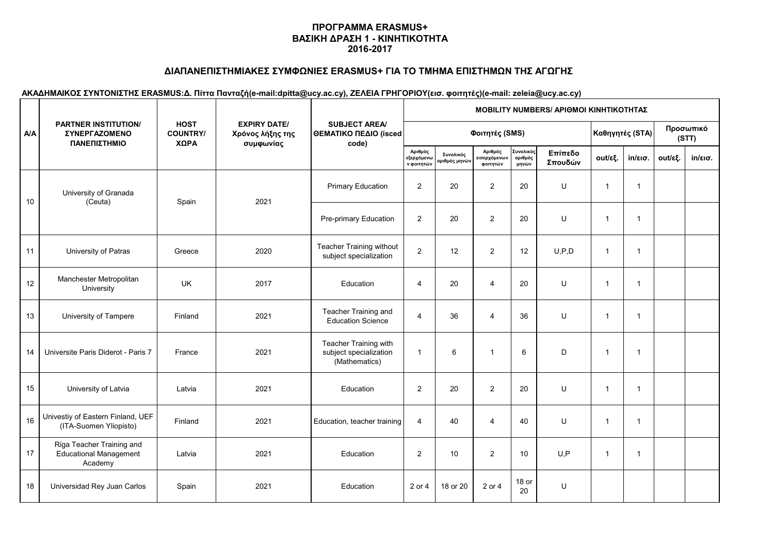# **ΔΙΑΠΑΝΕΠΙΣΤΗΜΙΑΚΕΣ ΣΥΜΦΩΝΙΕΣ ERASMUS+ ΓΙΑ ΤΟ ΤΜΗΜΑ ΕΠΙΣΤΗΜΩΝ ΤΗΣ ΑΓΩΓΗΣ**

|            | <b>PARTNER INSTITUTION/</b><br><b>ΣΥΝΕΡΓΑΖΟΜΕΝΟ</b><br>ΠΑΝΕΠΙΣΤΗΜΙΟ   |                                        |                                                      | <b>SUBJECT AREA/</b><br>ΘΕΜΑΤΙΚΟ ΠΕΔΙΟ (isced<br>code)           | <b>MOBILITY NUMBERS/ APIOMOI ΚΙΝΗΤΙΚΟΤΗΤΑΣ</b> |                                          |                                     |                               |                    |                    |                   |         |                   |  |  |
|------------|-----------------------------------------------------------------------|----------------------------------------|------------------------------------------------------|------------------------------------------------------------------|------------------------------------------------|------------------------------------------|-------------------------------------|-------------------------------|--------------------|--------------------|-------------------|---------|-------------------|--|--|
| <b>A/A</b> |                                                                       | <b>HOST</b><br><b>COUNTRY/</b><br>ΧΩΡΑ | <b>EXPIRY DATE/</b><br>Χρόνος λήξης της<br>συμφωνίας |                                                                  |                                                | Φοιτητές (SMS)                           |                                     | Καθηγητές (STA)               |                    | Προσωπικό<br>(STT) |                   |         |                   |  |  |
|            |                                                                       |                                        |                                                      |                                                                  | Αριθμός<br>εξερχόμενω<br>ν φοιτητών            | Συνολικός<br>αριθμός μη <mark>νών</mark> | Αριθμός<br>εισερχόμενων<br>φοιτητών | Συνολικός<br>αριθμός<br>μηνών | Επίπεδο<br>Σπουδών | out/εξ.            | $in/\epsilon$ ισ. | out/εξ. | $in/\epsilon$ ισ. |  |  |
| 10         | University of Granada<br>(Ceuta)                                      | Spain                                  | 2021                                                 | <b>Primary Education</b>                                         | 2                                              | 20                                       | $\overline{2}$                      | 20                            | U                  | $\overline{1}$     | $\mathbf{1}$      |         |                   |  |  |
|            |                                                                       |                                        |                                                      | Pre-primary Education                                            | $\overline{2}$                                 | 20                                       | $\overline{2}$                      | 20                            | U                  | $\mathbf{1}$       | $\mathbf{1}$      |         |                   |  |  |
| 11         | University of Patras                                                  | Greece                                 | 2020                                                 | <b>Teacher Training without</b><br>subject specialization        | $\overline{2}$                                 | 12                                       | $\overline{2}$                      | 12                            | U, P, D            | $\mathbf{1}$       | $\mathbf{1}$      |         |                   |  |  |
| $12\,$     | Manchester Metropolitan<br>University                                 | UK                                     | 2017                                                 | Education                                                        | $\overline{4}$                                 | 20                                       | 4                                   | 20                            | U                  | $\overline{1}$     | $\mathbf{1}$      |         |                   |  |  |
| 13         | University of Tampere                                                 | Finland                                | 2021                                                 | Teacher Training and<br><b>Education Science</b>                 | $\overline{4}$                                 | 36                                       | $\overline{4}$                      | 36                            | U                  | $\mathbf{1}$       | $\mathbf{1}$      |         |                   |  |  |
| 14         | Universite Paris Diderot - Paris 7                                    | France                                 | 2021                                                 | Teacher Training with<br>subject specialization<br>(Mathematics) | $\mathbf{1}$                                   | 6                                        | $\mathbf{1}$                        | 6                             | D                  | $\overline{1}$     | $\mathbf 1$       |         |                   |  |  |
| 15         | University of Latvia                                                  | Latvia                                 | 2021                                                 | Education                                                        | $\overline{2}$                                 | 20                                       | $\overline{2}$                      | 20                            | U                  | $\mathbf{1}$       | $\mathbf{1}$      |         |                   |  |  |
| 16         | Univestiy of Eastern Finland, UEF<br>(ITA-Suomen Yliopisto)           | Finland                                | 2021                                                 | Education, teacher training                                      | $\overline{4}$                                 | 40                                       | $\overline{\mathbf{4}}$             | 40                            | U                  | $\overline{1}$     | $\mathbf{1}$      |         |                   |  |  |
| 17         | Riga Teacher Training and<br><b>Educational Management</b><br>Academy | Latvia                                 | 2021                                                 | Education                                                        | $\overline{2}$                                 | 10                                       | $\overline{2}$                      | 10                            | U, P               | $\overline{1}$     | $\mathbf{1}$      |         |                   |  |  |
| 18         | Universidad Rey Juan Carlos                                           | Spain                                  | 2021                                                 | Education                                                        | 2 or 4                                         | 18 or 20                                 | 2 or 4                              | 18 or<br>20                   | U                  |                    |                   |         |                   |  |  |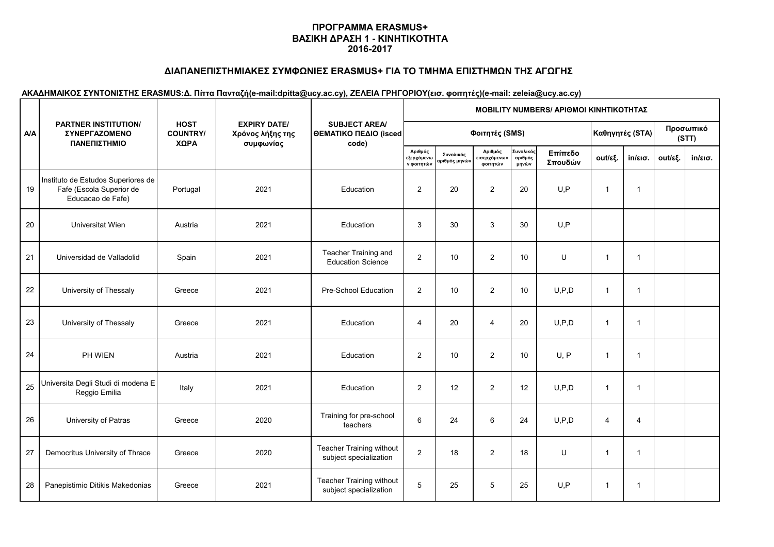# **ΔΙΑΠΑΝΕΠΙΣΤΗΜΙΑΚΕΣ ΣΥΜΦΩΝΙΕΣ ERASMUS+ ΓΙΑ ΤΟ ΤΜΗΜΑ ΕΠΙΣΤΗΜΩΝ ΤΗΣ ΑΓΩΓΗΣ**

|            | <b>PARTNER INSTITUTION/</b><br><b>ΣΥΝΕΡΓΑΖΟΜΕΝΟ</b><br>ΠΑΝΕΠΙΣΤΗΜΙΟ                 |                                        |                                                      | <b>SUBJECT AREA/</b><br>ΘΕΜΑΤΙΚΟ ΠΕΔΙΟ (isced<br>code)    | <b>ΜΟΒΙLITY NUMBERS/ ΑΡΙΘΜΟΙ ΚΙΝΗΤΙΚΟΤΗΤΑΣ</b>     |                                          |                                     |                               |                    |                 |                   |                    |                   |  |  |
|------------|-------------------------------------------------------------------------------------|----------------------------------------|------------------------------------------------------|-----------------------------------------------------------|----------------------------------------------------|------------------------------------------|-------------------------------------|-------------------------------|--------------------|-----------------|-------------------|--------------------|-------------------|--|--|
| <b>A/A</b> |                                                                                     | <b>HOST</b><br><b>COUNTRY/</b><br>ΧΩΡΑ | <b>EXPIRY DATE/</b><br>Χρόνος λήξης της<br>συμφωνίας |                                                           |                                                    |                                          | Φοιτητές (SMS)                      |                               |                    | Καθηγητές (STA) |                   | Προσωπικό<br>(STT) |                   |  |  |
|            |                                                                                     |                                        |                                                      |                                                           | Αριθμός<br>εξερχόμ <mark>εν</mark> ω<br>ν φοιτητών | Συνολικός<br>αριθμός μη <mark>νών</mark> | Αριθμός<br>εισερχόμενων<br>φοιτητών | Συνολικός<br>αριθμός<br>μηνών | Επίπεδο<br>Σπουδών | out/εξ.         | $in/\epsilon$ ισ. | out/εξ.            | $in/\epsilon$ ισ. |  |  |
| 19         | Instituto de Estudos Superiores de<br>Fafe (Escola Superior de<br>Educacao de Fafe) | Portugal                               | 2021                                                 | Education                                                 | $\overline{2}$                                     | 20                                       | $\overline{2}$                      | 20                            | U, P               | $\overline{1}$  | $\mathbf{1}$      |                    |                   |  |  |
| $20\,$     | Universitat Wien                                                                    | Austria                                | 2021                                                 | Education                                                 | 3                                                  | 30                                       | 3                                   | 30                            | U, P               |                 |                   |                    |                   |  |  |
| 21         | Universidad de Valladolid                                                           | Spain                                  | 2021                                                 | Teacher Training and<br><b>Education Science</b>          | 2                                                  | 10                                       | $\overline{2}$                      | 10                            | U                  | $\overline{1}$  | $\mathbf{1}$      |                    |                   |  |  |
| 22         | University of Thessaly                                                              | Greece                                 | 2021                                                 | Pre-School Education                                      | $\overline{c}$                                     | 10                                       | $\overline{2}$                      | 10                            | U, P, D            | $\overline{1}$  | $\mathbf{1}$      |                    |                   |  |  |
| 23         | University of Thessaly                                                              | Greece                                 | 2021                                                 | Education                                                 | $\overline{4}$                                     | 20                                       | $\overline{4}$                      | 20                            | U, P, D            | $\overline{1}$  | $\mathbf{1}$      |                    |                   |  |  |
| 24         | PH WIEN                                                                             | Austria                                | 2021                                                 | Education                                                 | $\overline{2}$                                     | 10                                       | $\overline{2}$                      | 10                            | U, P               | $\overline{1}$  | $\mathbf{1}$      |                    |                   |  |  |
| 25         | Universita Degli Studi di modena E<br>Reggio Emilia                                 | Italy                                  | 2021                                                 | Education                                                 | $\overline{2}$                                     | 12                                       | $\overline{2}$                      | 12                            | U, P, D            | $\mathbf{1}$    | $\mathbf{1}$      |                    |                   |  |  |
| 26         | University of Patras                                                                | Greece                                 | 2020                                                 | Training for pre-school<br>teachers                       | 6                                                  | 24                                       | $\,6\,$                             | 24                            | U, P, D            | $\overline{4}$  | 4                 |                    |                   |  |  |
| 27         | Democritus University of Thrace                                                     | Greece                                 | 2020                                                 | <b>Teacher Training without</b><br>subject specialization | 2                                                  | 18                                       | $\overline{2}$                      | 18                            | U                  | $\overline{1}$  | $\mathbf 1$       |                    |                   |  |  |
| 28         | Panepistimio Ditikis Makedonias                                                     | Greece                                 | 2021                                                 | Teacher Training without<br>subject specialization        | 5                                                  | 25                                       | $\,$ 5 $\,$                         | 25                            | U, P               | $\overline{1}$  | $\mathbf 1$       |                    |                   |  |  |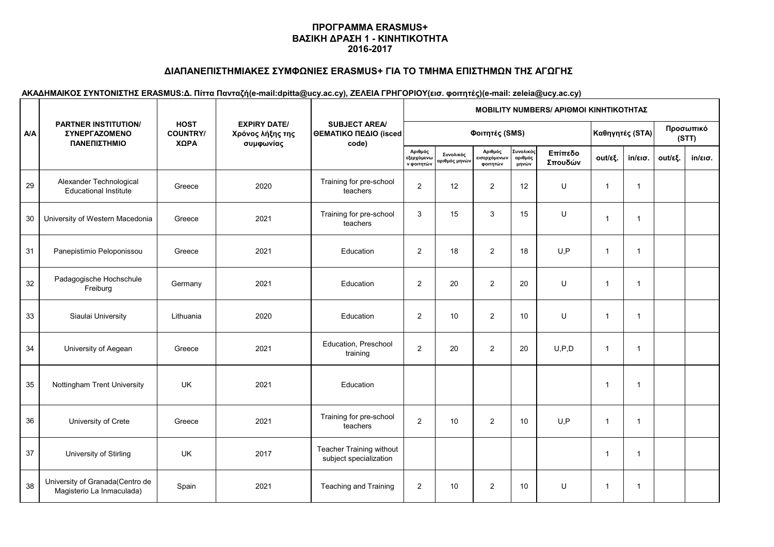# **ΔΙΑΠΑΝΕΠΙΣΤΗΜΙΑΚΕΣ ΣΥΜΦΩΝΙΕΣ ERASMUS+ ΓΙΑ ΤΟ ΤΜΗΜΑ ΕΠΙΣΤΗΜΩΝ ΤΗΣ ΑΓΩΓΗΣ**

|            | <b>PARTNER INSTITUTION/</b><br><b>ΣΥΝΕΡΓΑΖΟΜΕΝΟ</b><br>ΠΑΝΕΠΙΣΤΗΜΙΟ |                                        |                                                      |                                                        | <b>MOBILITY NUMBERS/ APIOMOI ΚΙΝΗΤΙΚΟΤΗΤΑΣ</b>     |                            |                                     |                               |                    |                         |                   |         |                    |  |  |
|------------|---------------------------------------------------------------------|----------------------------------------|------------------------------------------------------|--------------------------------------------------------|----------------------------------------------------|----------------------------|-------------------------------------|-------------------------------|--------------------|-------------------------|-------------------|---------|--------------------|--|--|
| <b>A/A</b> |                                                                     | <b>HOST</b><br><b>COUNTRY/</b><br>ΧΩΡΑ | <b>EXPIRY DATE/</b><br>Χρόνος λήξης της<br>συμφωνίας | <b>SUBJECT AREA/</b><br>ΘΕΜΑΤΙΚΟ ΠΕΔΙΟ (isced<br>code) |                                                    |                            | Φοιτητές (SMS)                      |                               |                    | Καθηγητές (STA)         |                   |         | Προσωπικό<br>(STT) |  |  |
|            |                                                                     |                                        |                                                      |                                                        | Αριθμός<br>εξερχόμ <mark>εν</mark> ω<br>ν φοιτητών | Συνολικός<br>αριθμός μηνών | Αριθμός<br>εισερχόμενων<br>φοιτητών | Συνολικός<br>αριθμός<br>μηνών | Επίπεδο<br>Σπουδών | out/εξ.                 | $in/\epsilon$ ισ. | out/εξ. | $in/\epsilon$ ισ.  |  |  |
| 29         | Alexander Technological<br><b>Educational Institute</b>             | Greece                                 | 2020                                                 | Training for pre-school<br>teachers                    | $\overline{c}$                                     | 12                         | $\overline{2}$                      | 12                            | U                  | $\overline{1}$          | $\mathbf{1}$      |         |                    |  |  |
| 30         | University of Western Macedonia                                     | Greece                                 | 2021                                                 | Training for pre-school<br>teachers                    | 3                                                  | 15                         | 3                                   | 15                            | U                  | $\overline{1}$          | $\mathbf{1}$      |         |                    |  |  |
| 31         | Panepistimio Peloponissou                                           | Greece                                 | 2021                                                 | Education                                              | 2                                                  | 18                         | $\overline{2}$                      | 18                            | U, P               | $\overline{1}$          | $\mathbf{1}$      |         |                    |  |  |
| 32         | Padagogische Hochschule<br>Freiburg                                 | Germany                                | 2021                                                 | Education                                              | $\overline{2}$                                     | 20                         | $\overline{2}$                      | 20                            | U                  | $\overline{1}$          | $\mathbf{1}$      |         |                    |  |  |
| 33         | Siaulai University                                                  | Lithuania                              | 2020                                                 | Education                                              | $\overline{2}$                                     | 10                         | $\overline{2}$                      | 10                            | U                  | $\overline{1}$          | $\mathbf{1}$      |         |                    |  |  |
| 34         | University of Aegean                                                | Greece                                 | 2021                                                 | Education, Preschool<br>training                       | $\overline{c}$                                     | 20                         | $\overline{2}$                      | 20                            | U, P, D            | $\overline{1}$          | $\mathbf{1}$      |         |                    |  |  |
| 35         | Nottingham Trent University                                         | <b>UK</b>                              | 2021                                                 | Education                                              |                                                    |                            |                                     |                               |                    | $\overline{1}$          | $\mathbf 1$       |         |                    |  |  |
| 36         | University of Crete                                                 | Greece                                 | 2021                                                 | Training for pre-school<br>teachers                    | 2                                                  | 10                         | $\overline{2}$                      | 10                            | U, P               | $\overline{1}$          | $\mathbf{1}$      |         |                    |  |  |
| 37         | University of Stirling                                              | <b>UK</b>                              | 2017                                                 | Teacher Training without<br>subject specialization     |                                                    |                            |                                     |                               |                    | $\overline{\mathbf{1}}$ | 1                 |         |                    |  |  |
| 38         | University of Granada(Centro de<br>Magisterio La Inmaculada)        | Spain                                  | 2021                                                 | Teaching and Training                                  | $\overline{2}$                                     | 10                         | $\overline{2}$                      | 10                            | U                  | $\mathbf{1}$            | 1                 |         |                    |  |  |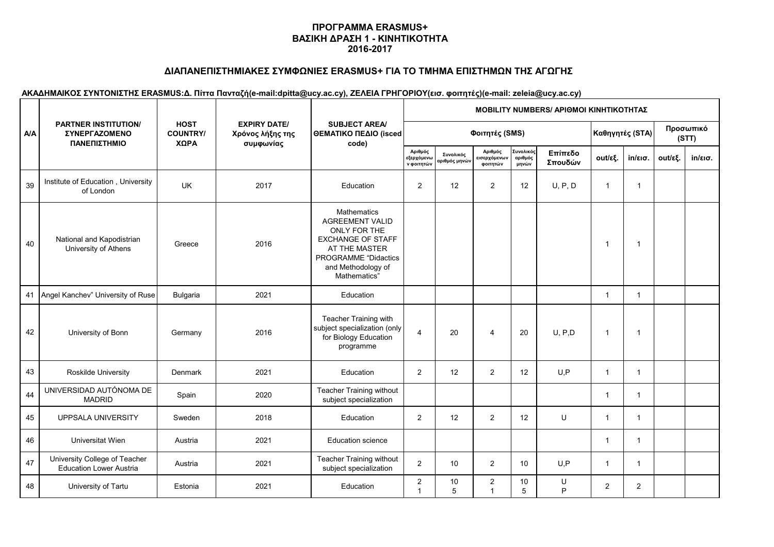# **ΔΙΑΠΑΝΕΠΙΣΤΗΜΙΑΚΕΣ ΣΥΜΦΩΝΙΕΣ ERASMUS+ ΓΙΑ ΤΟ ΤΜΗΜΑ ΕΠΙΣΤΗΜΩΝ ΤΗΣ ΑΓΩΓΗΣ**

|            |                                                                            |                                        |                                                      | <b>SUBJECT AREA</b><br>ΘΕΜΑΤΙΚΟ ΠΕΔΙΟ (isced<br>code)                                                                                                                          | MOBILITY NUMBERS/ ΑΡΙΘΜΟΙ ΚΙΝΗΤΙΚΟΤΗΤΑΣ |                            |                                     |                               |                    |                 |                   |                    |                   |  |  |
|------------|----------------------------------------------------------------------------|----------------------------------------|------------------------------------------------------|--------------------------------------------------------------------------------------------------------------------------------------------------------------------------------|-----------------------------------------|----------------------------|-------------------------------------|-------------------------------|--------------------|-----------------|-------------------|--------------------|-------------------|--|--|
| <b>A/A</b> | <b>PARTNER INSTITUTION/</b><br><b><i>ΣΥΝΕΡΓΑΖΟΜΕΝΟ</i></b><br>ΠΑΝΕΠΙΣΤΗΜΙΟ | <b>HOST</b><br><b>COUNTRY/</b><br>ΧΩΡΑ | <b>EXPIRY DATE/</b><br>Χρόνος λήξης της<br>συμφωνίας |                                                                                                                                                                                |                                         |                            | Φοιτητές (SMS)                      |                               |                    | Καθηγητές (STA) |                   | Προσωπικό<br>(STT) |                   |  |  |
|            |                                                                            |                                        |                                                      |                                                                                                                                                                                | Αριθμός<br>εξερχόμενω<br>ν φοιτητών     | Συνολικός<br>αριθμός μηνών | Αριθμός<br>εισερχόμενων<br>φοιτητών | Συνολικός<br>αριθμός<br>μηνών | Επίπεδο<br>Σπουδών | out/εξ.         | $in/\epsilon$ ισ. | out/εξ.            | $in/\epsilon$ ισ. |  |  |
| 39         | Institute of Education, University<br>of London                            | <b>UK</b>                              | 2017                                                 | Education                                                                                                                                                                      | $\overline{2}$                          | 12                         | $\overline{2}$                      | 12                            | U, P, D            | $\overline{1}$  | $\mathbf{1}$      |                    |                   |  |  |
| 40         | National and Kapodistrian<br>University of Athens                          | Greece                                 | 2016                                                 | <b>Mathematics</b><br><b>AGREEMENT VALID</b><br>ONLY FOR THE<br><b>EXCHANGE OF STAFF</b><br>AT THE MASTER<br><b>PROGRAMME "Didactics</b><br>and Methodology of<br>Mathematics" |                                         |                            |                                     |                               |                    | $\mathbf{1}$    | $\mathbf 1$       |                    |                   |  |  |
| 41         | Angel Kanchev" University of Ruse                                          | <b>Bulgaria</b>                        | 2021                                                 | Education                                                                                                                                                                      |                                         |                            |                                     |                               |                    | $\overline{1}$  | $\mathbf{1}$      |                    |                   |  |  |
| 42         | University of Bonn                                                         | Germany                                | 2016                                                 | Teacher Training with<br>subject specialization (only<br>for Biology Education<br>programme                                                                                    | $\overline{4}$                          | 20                         | $\overline{4}$                      | 20                            | U, P, D            | $\mathbf{1}$    | $\overline{1}$    |                    |                   |  |  |
| 43         | Roskilde University                                                        | Denmark                                | 2021                                                 | Education                                                                                                                                                                      | 2                                       | 12                         | $\overline{2}$                      | 12                            | U, P               | $\overline{1}$  | $\mathbf{1}$      |                    |                   |  |  |
| 44         | UNIVERSIDAD AUTÓNOMA DE<br><b>MADRID</b>                                   | Spain                                  | 2020                                                 | Teacher Training without<br>subject specialization                                                                                                                             |                                         |                            |                                     |                               |                    | $\overline{1}$  | $\mathbf{1}$      |                    |                   |  |  |
| 45         | UPPSALA UNIVERSITY                                                         | Sweden                                 | 2018                                                 | Education                                                                                                                                                                      | 2                                       | 12                         | $\overline{2}$                      | 12                            | U                  | $\overline{1}$  | $\mathbf{1}$      |                    |                   |  |  |
| 46         | Universitat Wien                                                           | Austria                                | 2021                                                 | <b>Education science</b>                                                                                                                                                       |                                         |                            |                                     |                               |                    | $\overline{1}$  | $\mathbf{1}$      |                    |                   |  |  |
| 47         | University College of Teacher<br><b>Education Lower Austria</b>            | Austria                                | 2021                                                 | Teacher Training without<br>subject specialization                                                                                                                             | $\overline{2}$                          | 10                         | $\mathbf{2}$                        | 10                            | U.P                | $\mathbf{1}$    | $\mathbf{1}$      |                    |                   |  |  |
| 48         | University of Tartu                                                        | Estonia                                | 2021                                                 | Education                                                                                                                                                                      | $\sqrt{2}$<br>$\overline{1}$            | 10<br>5                    | $\overline{c}$<br>$\overline{1}$    | 10<br>5                       | U<br>P             | 2               | $\overline{2}$    |                    |                   |  |  |